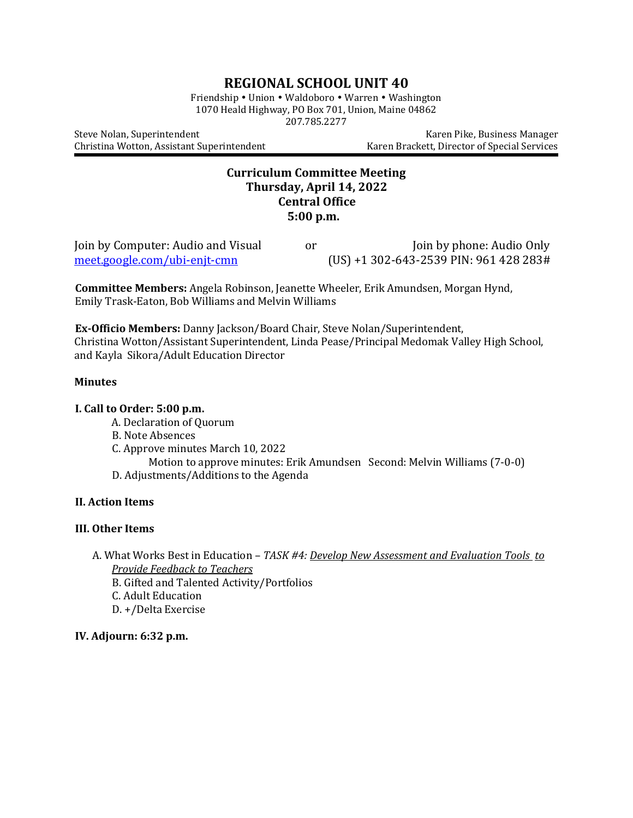# **REGIONAL SCHOOL UNIT 40**

Friendship • Union • Waldoboro • Warren • Washington 1070 Heald Highway, PO Box 701, Union, Maine 04862 207.785.2277

Steve Nolan, Superintendent North Register Andreas Manager (Karen Pike, Business Manager) Christina Wotton, Assistant Superintendent Karen Brackett, Director of Special Services

# **Curriculum Committee Meeting Thursday, April 14, 2022 Central Office 5:00 p.m.**

| Join by Computer: Audio and Visual  | or | Join by phone: Audio Only                    |
|-------------------------------------|----|----------------------------------------------|
| <u>meet.google.com/ubi-enjt-cmn</u> |    | $(US) + 1302 - 643 - 2539$ PIN: 961 428 283# |

**Committee Members:** Angela Robinson, Jeanette Wheeler, Erik Amundsen, Morgan Hynd, Emily Trask-Eaton, Bob Williams and Melvin Williams

**Ex-Officio Members:** Danny Jackson/Board Chair, Steve Nolan/Superintendent, Christina Wotton/Assistant Superintendent, Linda Pease/Principal Medomak Valley High School, and Kayla Sikora/Adult Education Director

#### **Minutes**

#### **I. Call to Order: 5:00 p.m.**

- A. Declaration of Quorum
- B. Note Absences
- C. Approve minutes March 10, 2022

Motion to approve minutes: Erik Amundsen Second: Melvin Williams (7-0-0)

D. Adjustments/Additions to the Agenda

### **II. Action Items**

#### **III. Other Items**

- A. What Works Best in Education *TASK #4: Develop New Assessment and Evaluation Tools to Provide Feedback to Teachers*
	- B. Gifted and Talented Activity/Portfolios
	- C. Adult Education
	- D. +/Delta Exercise

## **IV. Adjourn: 6:32 p.m.**